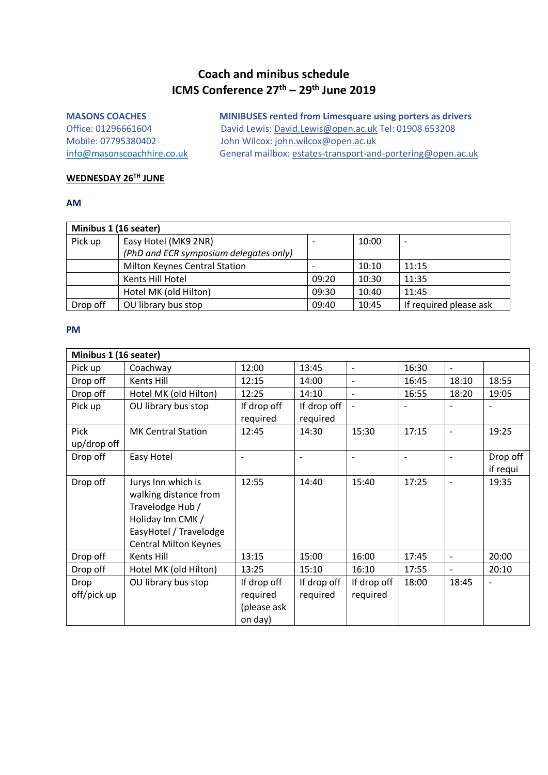# **Coach and minibus schedule ICMS Conference 27th – 29th June 2019**

| <b>MINIBUSES rented from Limesquare using porters as drivers</b> |
|------------------------------------------------------------------|
| David Lewis: David.Lewis@open.ac.uk Tel: 01908 653208            |
| John Wilcox: john.wilcox@open.ac.uk                              |
| General mailbox: estates-transport-and-portering@open.ac.uk      |
|                                                                  |

## **WEDNESDAY 26TH JUNE**

#### **AM**

| Minibus 1 (16 seater) |                                        |       |       |                        |  |  |  |  |  |
|-----------------------|----------------------------------------|-------|-------|------------------------|--|--|--|--|--|
| Pick up               | Easy Hotel (MK9 2NR)                   |       | 10:00 |                        |  |  |  |  |  |
|                       | (PhD and ECR symposium delegates only) |       |       |                        |  |  |  |  |  |
|                       | <b>Milton Keynes Central Station</b>   |       | 10:10 | 11:15                  |  |  |  |  |  |
|                       | Kents Hill Hotel                       | 09:20 | 10:30 | 11:35                  |  |  |  |  |  |
|                       | Hotel MK (old Hilton)                  | 09:30 | 10:40 | 11:45                  |  |  |  |  |  |
| Drop off              | OU library bus stop                    | 09:40 | 10:45 | If required please ask |  |  |  |  |  |

| Minibus 1 (16 seater) |                              |             |             |                          |                          |                          |                          |  |  |  |  |
|-----------------------|------------------------------|-------------|-------------|--------------------------|--------------------------|--------------------------|--------------------------|--|--|--|--|
| Pick up               | Coachway                     | 12:00       | 13:45       | $\frac{1}{2}$            | 16:30                    | $\blacksquare$           |                          |  |  |  |  |
| Drop off              | Kents Hill                   | 12:15       | 14:00       | $\overline{\phantom{a}}$ | 16:45                    | 18:10                    | 18:55                    |  |  |  |  |
| Drop off              | Hotel MK (old Hilton)        | 12:25       | 14:10       | $\overline{\phantom{a}}$ | 16:55                    | 18:20                    | 19:05                    |  |  |  |  |
| Pick up               | OU library bus stop          | If drop off | If drop off | $\blacksquare$           | $\overline{\phantom{a}}$ |                          | $\overline{\phantom{a}}$ |  |  |  |  |
|                       |                              | required    | required    |                          |                          |                          |                          |  |  |  |  |
| Pick                  | <b>MK Central Station</b>    | 12:45       | 14:30       | 15:30                    | 17:15                    | $\overline{\phantom{a}}$ | 19:25                    |  |  |  |  |
| up/drop off           |                              |             |             |                          |                          |                          |                          |  |  |  |  |
| Drop off              | Easy Hotel                   |             |             | $\overline{\phantom{0}}$ | ٠                        |                          | Drop off                 |  |  |  |  |
|                       |                              |             |             |                          |                          |                          | if requi                 |  |  |  |  |
| Drop off              | Jurys Inn which is           | 12:55       | 14:40       | 15:40                    | 17:25                    |                          | 19:35                    |  |  |  |  |
|                       | walking distance from        |             |             |                          |                          |                          |                          |  |  |  |  |
|                       | Travelodge Hub /             |             |             |                          |                          |                          |                          |  |  |  |  |
|                       | Holiday Inn CMK /            |             |             |                          |                          |                          |                          |  |  |  |  |
|                       | EasyHotel / Travelodge       |             |             |                          |                          |                          |                          |  |  |  |  |
|                       | <b>Central Milton Keynes</b> |             |             |                          |                          |                          |                          |  |  |  |  |
| Drop off              | Kents Hill                   | 13:15       | 15:00       | 16:00                    | 17:45                    | $\overline{\phantom{a}}$ | 20:00                    |  |  |  |  |
| Drop off              | Hotel MK (old Hilton)        | 13:25       | 15:10       | 16:10                    | 17:55                    | $\overline{\phantom{a}}$ | 20:10                    |  |  |  |  |
| Drop                  | OU library bus stop          | If drop off | If drop off | If drop off              | 18:00                    | 18:45                    |                          |  |  |  |  |
| off/pick up           |                              | required    | required    | required                 |                          |                          |                          |  |  |  |  |
|                       |                              | (please ask |             |                          |                          |                          |                          |  |  |  |  |
|                       |                              | on day)     |             |                          |                          |                          |                          |  |  |  |  |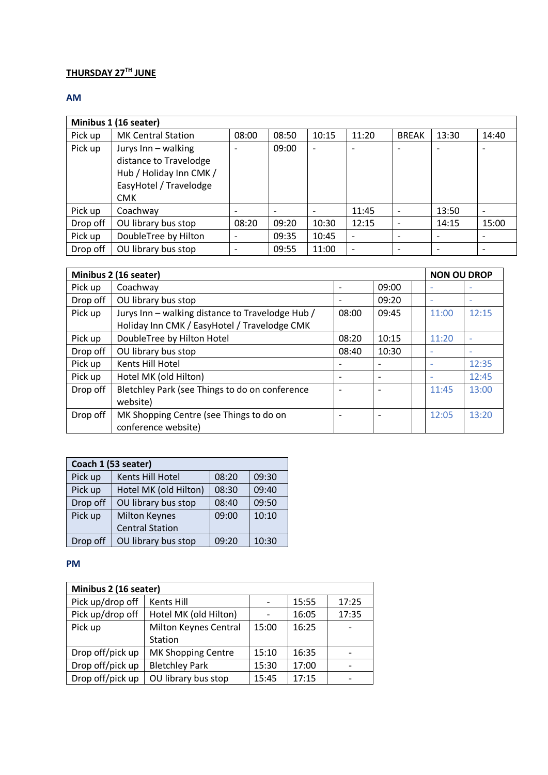# **THURSDAY 27TH JUNE**

## **AM**

| Minibus 1 (16 seater) |                                                                                                    |       |       |       |                          |              |       |       |  |  |  |
|-----------------------|----------------------------------------------------------------------------------------------------|-------|-------|-------|--------------------------|--------------|-------|-------|--|--|--|
| Pick up               | <b>MK Central Station</b>                                                                          | 08:00 | 08:50 | 10:15 | 11:20                    | <b>BREAK</b> | 13:30 | 14:40 |  |  |  |
| Pick up               | Jurys Inn - walking<br>distance to Travelodge<br>Hub / Holiday Inn CMK /<br>EasyHotel / Travelodge |       | 09:00 |       | ۰                        |              |       |       |  |  |  |
|                       | <b>CMK</b>                                                                                         |       |       |       |                          |              |       |       |  |  |  |
| Pick up               | Coachway                                                                                           |       |       |       | 11:45                    |              | 13:50 |       |  |  |  |
| Drop off              | OU library bus stop                                                                                | 08:20 | 09:20 | 10:30 | 12:15                    | ۰            | 14:15 | 15:00 |  |  |  |
| Pick up               | DoubleTree by Hilton                                                                               |       | 09:35 | 10:45 | $\overline{\phantom{a}}$ |              |       |       |  |  |  |
| Drop off              | OU library bus stop                                                                                |       | 09:55 | 11:00 | $\overline{ }$           |              |       |       |  |  |  |

|          | Minibus 2 (16 seater)                            |       |                              |  |                          |       |  |  |
|----------|--------------------------------------------------|-------|------------------------------|--|--------------------------|-------|--|--|
| Pick up  | Coachway                                         |       | 09:00                        |  | $\overline{\phantom{a}}$ |       |  |  |
| Drop off | OU library bus stop                              |       | 09:20                        |  | $\overline{\phantom{a}}$ |       |  |  |
| Pick up  | Jurys Inn - walking distance to Travelodge Hub / | 08:00 | 09:45                        |  | 11:00                    | 12:15 |  |  |
|          | Holiday Inn CMK / EasyHotel / Travelodge CMK     |       |                              |  |                          |       |  |  |
| Pick up  | DoubleTree by Hilton Hotel                       | 08:20 | 10:15                        |  | 11:20                    |       |  |  |
| Drop off | OU library bus stop                              | 08:40 | 10:30                        |  | $\overline{\phantom{a}}$ |       |  |  |
| Pick up  | Kents Hill Hotel                                 |       | $\overline{\phantom{a}}$     |  | ٠                        | 12:35 |  |  |
| Pick up  | Hotel MK (old Hilton)                            |       | $\qquad \qquad \blacksquare$ |  | ۰                        | 12:45 |  |  |
| Drop off | Bletchley Park (see Things to do on conference   |       |                              |  | 11:45                    | 13:00 |  |  |
|          | website)                                         |       |                              |  |                          |       |  |  |
| Drop off | MK Shopping Centre (see Things to do on          |       |                              |  | 12:05                    | 13:20 |  |  |
|          | conference website)                              |       |                              |  |                          |       |  |  |

| Coach 1 (53 seater) |                        |       |       |  |  |  |  |  |  |
|---------------------|------------------------|-------|-------|--|--|--|--|--|--|
| Pick up             | Kents Hill Hotel       | 08:20 | 09:30 |  |  |  |  |  |  |
| Pick up             | Hotel MK (old Hilton)  | 08:30 | 09:40 |  |  |  |  |  |  |
| Drop off            | OU library bus stop    | 08:40 | 09:50 |  |  |  |  |  |  |
| Pick up             | <b>Milton Keynes</b>   | 09:00 | 10:10 |  |  |  |  |  |  |
|                     | <b>Central Station</b> |       |       |  |  |  |  |  |  |
| Drop off            | OU library bus stop    | 09:20 | 10:30 |  |  |  |  |  |  |

| Minibus 2 (16 seater)                     |                       |       |       |       |  |  |  |  |  |
|-------------------------------------------|-----------------------|-------|-------|-------|--|--|--|--|--|
| Pick up/drop off                          | Kents Hill            |       | 15:55 | 17:25 |  |  |  |  |  |
| Pick up/drop off                          | Hotel MK (old Hilton) |       | 16:05 | 17:35 |  |  |  |  |  |
| Pick up                                   | Milton Keynes Central | 15:00 | 16:25 |       |  |  |  |  |  |
|                                           | Station               |       |       |       |  |  |  |  |  |
| Drop off/pick up                          | MK Shopping Centre    | 15:10 | 16:35 |       |  |  |  |  |  |
| Drop off/pick up<br><b>Bletchley Park</b> |                       | 15:30 | 17:00 |       |  |  |  |  |  |
| Drop off/pick up                          | OU library bus stop   | 15:45 | 17:15 |       |  |  |  |  |  |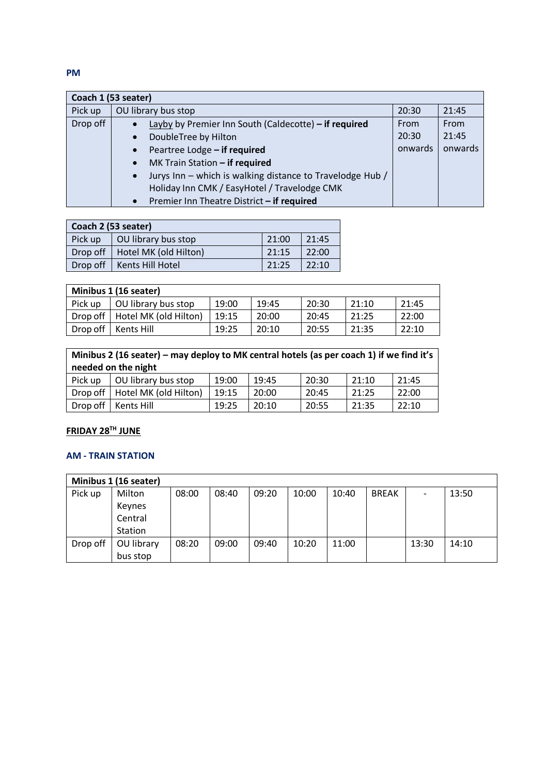|          | Coach 1 (53 seater)                                                    |         |         |
|----------|------------------------------------------------------------------------|---------|---------|
| Pick up  | OU library bus stop                                                    | 20:30   | 21:45   |
| Drop off | Layby by Premier Inn South (Caldecotte) - if required                  | From    | From    |
|          | DoubleTree by Hilton<br>$\bullet$                                      | 20:30   | 21:45   |
|          | Peartree Lodge - if required<br>$\bullet$                              | onwards | onwards |
|          | MK Train Station - if required<br>$\bullet$                            |         |         |
|          | Jurys Inn - which is walking distance to Travelodge Hub /<br>$\bullet$ |         |         |
|          | Holiday Inn CMK / EasyHotel / Travelodge CMK                           |         |         |
|          | Premier Inn Theatre District - if required<br>$\bullet$                |         |         |

| Coach 2 (53 seater) |                                  |       |       |  |  |  |  |  |
|---------------------|----------------------------------|-------|-------|--|--|--|--|--|
| Pick up             | OU library bus stop              | 21:00 | 21:45 |  |  |  |  |  |
|                     | Drop off   Hotel MK (old Hilton) | 21:15 | 22:00 |  |  |  |  |  |
|                     | Drop off   Kents Hill Hotel      | 21:25 | 22:10 |  |  |  |  |  |

| Minibus 1 (16 seater) |                       |       |       |       |       |       |  |  |  |  |
|-----------------------|-----------------------|-------|-------|-------|-------|-------|--|--|--|--|
| Pick up               | OU library bus stop   | 19:00 | 19:45 | 20:30 | 21:10 | 21:45 |  |  |  |  |
| Drop off              | Hotel MK (old Hilton) | 19:15 | 20:00 | 20:45 | 21:25 | 22:00 |  |  |  |  |
| Drop off              | Kents Hill            | 19:25 | 20:10 | 20:55 | 21:35 | 22:10 |  |  |  |  |

| Minibus 2 (16 seater) – may deploy to MK central hotels (as per coach 1) if we find it's<br>needed on the night |                       |       |       |       |       |       |  |  |  |  |
|-----------------------------------------------------------------------------------------------------------------|-----------------------|-------|-------|-------|-------|-------|--|--|--|--|
| Pick up                                                                                                         | OU library bus stop   | 19:00 | 19:45 | 20:30 | 21:10 | 21:45 |  |  |  |  |
| Drop off                                                                                                        | Hotel MK (old Hilton) | 19:15 | 20:00 | 20:45 | 21:25 | 22:00 |  |  |  |  |
| Drop off                                                                                                        | Kents Hill            | 19:25 | 20:10 | 20:55 | 21:35 | 22:10 |  |  |  |  |

## **FRIDAY 28TH JUNE**

## **AM - TRAIN STATION**

| Minibus 1 (16 seater) |            |       |       |       |       |       |              |                          |       |
|-----------------------|------------|-------|-------|-------|-------|-------|--------------|--------------------------|-------|
| Pick up               | Milton     | 08:00 | 08:40 | 09:20 | 10:00 | 10:40 | <b>BREAK</b> | $\overline{\phantom{0}}$ | 13:50 |
|                       | Keynes     |       |       |       |       |       |              |                          |       |
|                       | Central    |       |       |       |       |       |              |                          |       |
|                       | Station    |       |       |       |       |       |              |                          |       |
| Drop off              | OU library | 08:20 | 09:00 | 09:40 | 10:20 | 11:00 |              | 13:30                    | 14:10 |
|                       | bus stop   |       |       |       |       |       |              |                          |       |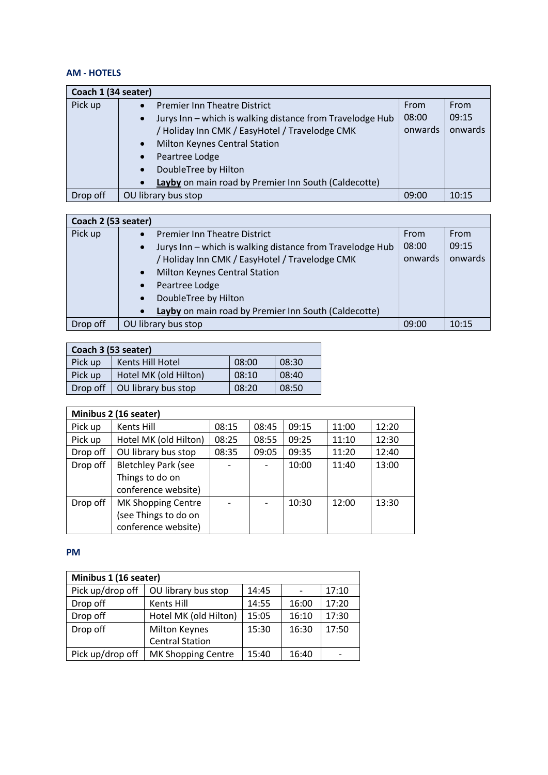## **AM - HOTELS**

| Coach 1 (34 seater) |                                                                        |         |         |
|---------------------|------------------------------------------------------------------------|---------|---------|
| Pick up             | <b>Premier Inn Theatre District</b>                                    | From    | From    |
|                     | Jurys Inn - which is walking distance from Travelodge Hub<br>$\bullet$ | 08:00   | 09:15   |
|                     | / Holiday Inn CMK / EasyHotel / Travelodge CMK                         | onwards | onwards |
|                     | Milton Keynes Central Station<br>$\bullet$                             |         |         |
|                     | Peartree Lodge<br>$\bullet$                                            |         |         |
|                     | DoubleTree by Hilton<br>$\bullet$                                      |         |         |
|                     | Layby on main road by Premier Inn South (Caldecotte)                   |         |         |
| Drop off            | OU library bus stop                                                    | 09:00   | 10:15   |

| Coach 2 (53 seater) |                                                                        |         |         |  |  |
|---------------------|------------------------------------------------------------------------|---------|---------|--|--|
| Pick up             | <b>Premier Inn Theatre District</b>                                    | From    | From    |  |  |
|                     | Jurys Inn - which is walking distance from Travelodge Hub<br>$\bullet$ | 08:00   | 09:15   |  |  |
|                     | / Holiday Inn CMK / EasyHotel / Travelodge CMK                         | onwards | onwards |  |  |
|                     | <b>Milton Keynes Central Station</b><br>$\bullet$                      |         |         |  |  |
|                     | Peartree Lodge<br>$\bullet$                                            |         |         |  |  |
|                     | DoubleTree by Hilton<br>$\bullet$                                      |         |         |  |  |
|                     | Layby on main road by Premier Inn South (Caldecotte)                   |         |         |  |  |
| Drop off            | OU library bus stop                                                    | 09:00   | 10:15   |  |  |

| Coach 3 (53 seater) |                       |       |       |  |  |
|---------------------|-----------------------|-------|-------|--|--|
| Pick up             | Kents Hill Hotel      | 08:00 | 08:30 |  |  |
| Pick up             | Hotel MK (old Hilton) | 08:10 | 08:40 |  |  |
| Drop off            | OU library bus stop   | 08:20 | 08:50 |  |  |

| Minibus 2 (16 seater) |                            |       |       |       |       |       |
|-----------------------|----------------------------|-------|-------|-------|-------|-------|
| Pick up               | Kents Hill                 | 08:15 | 08:45 | 09:15 | 11:00 | 12:20 |
| Pick up               | Hotel MK (old Hilton)      | 08:25 | 08:55 | 09:25 | 11:10 | 12:30 |
| Drop off              | OU library bus stop        | 08:35 | 09:05 | 09:35 | 11:20 | 12:40 |
| Drop off              | <b>Bletchley Park (see</b> |       |       | 10:00 | 11:40 | 13:00 |
|                       | Things to do on            |       |       |       |       |       |
|                       | conference website)        |       |       |       |       |       |
| Drop off              | MK Shopping Centre         |       |       | 10:30 | 12:00 | 13:30 |
|                       | (see Things to do on       |       |       |       |       |       |
|                       | conference website)        |       |       |       |       |       |

| Minibus 1 (16 seater) |                        |       |       |       |  |
|-----------------------|------------------------|-------|-------|-------|--|
| Pick up/drop off      | OU library bus stop    | 14:45 |       | 17:10 |  |
| Drop off              | Kents Hill             | 14:55 | 16:00 | 17:20 |  |
| Drop off              | Hotel MK (old Hilton)  | 15:05 | 16:10 | 17:30 |  |
| Drop off              | <b>Milton Keynes</b>   | 15:30 | 16:30 | 17:50 |  |
|                       | <b>Central Station</b> |       |       |       |  |
| Pick up/drop off      | MK Shopping Centre     | 15:40 | 16:40 |       |  |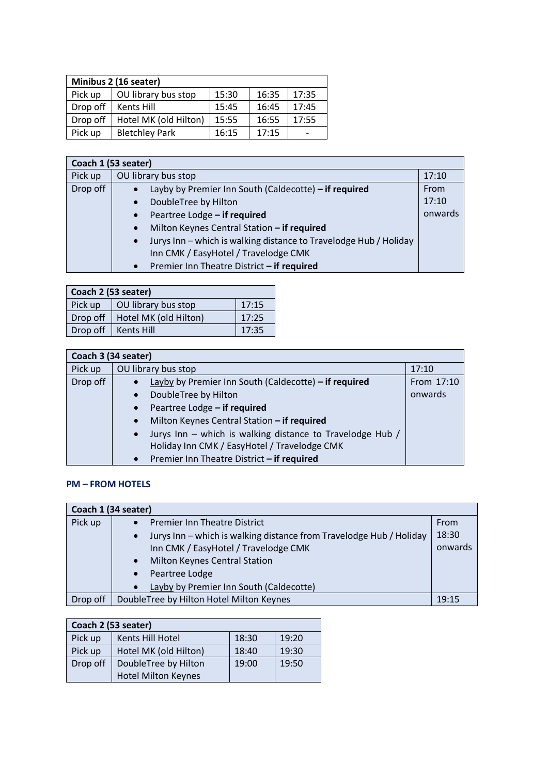| Minibus 2 (16 seater) |                       |       |       |       |  |
|-----------------------|-----------------------|-------|-------|-------|--|
| Pick up               | OU library bus stop   | 15:30 | 16:35 | 17:35 |  |
| Drop off              | Kents Hill            | 15:45 | 16:45 | 17:45 |  |
| Drop off              | Hotel MK (old Hilton) | 15:55 | 16:55 | 17:55 |  |
| Pick up               | <b>Bletchley Park</b> | 16:15 | 17:15 |       |  |

| Coach 1 (53 seater) |                                                                                |         |  |  |
|---------------------|--------------------------------------------------------------------------------|---------|--|--|
| Pick up             | OU library bus stop                                                            | 17:10   |  |  |
| Drop off            | Layby by Premier Inn South (Caldecotte) - if required                          | From    |  |  |
|                     | DoubleTree by Hilton<br>$\bullet$                                              | 17:10   |  |  |
|                     | Peartree Lodge - if required<br>$\bullet$                                      | onwards |  |  |
|                     | Milton Keynes Central Station - if required<br>$\bullet$                       |         |  |  |
|                     | Jurys Inn - which is walking distance to Travelodge Hub / Holiday<br>$\bullet$ |         |  |  |
|                     | Inn CMK / EasyHotel / Travelodge CMK                                           |         |  |  |
|                     | Premier Inn Theatre District - if required<br>$\bullet$                        |         |  |  |

| Coach 2 (53 seater) |                       |       |  |  |  |
|---------------------|-----------------------|-------|--|--|--|
| Pick up             | OU library bus stop   | 17:15 |  |  |  |
| Drop off            | Hotel MK (old Hilton) | 17:25 |  |  |  |
| Drop off            | 17:35                 |       |  |  |  |

| Coach 3 (34 seater) |                                                                        |            |  |  |
|---------------------|------------------------------------------------------------------------|------------|--|--|
| Pick up             | OU library bus stop                                                    | 17:10      |  |  |
| Drop off            | Layby by Premier Inn South (Caldecotte) - if required                  | From 17:10 |  |  |
|                     | DoubleTree by Hilton                                                   | onwards    |  |  |
|                     | Peartree Lodge - if required                                           |            |  |  |
|                     | Milton Keynes Central Station - if required                            |            |  |  |
|                     | Jurys Inn - which is walking distance to Travelodge Hub /<br>$\bullet$ |            |  |  |
|                     | Holiday Inn CMK / EasyHotel / Travelodge CMK                           |            |  |  |
|                     | Premier Inn Theatre District - if required<br>$\bullet$                |            |  |  |

#### **PM – FROM HOTELS**

| Coach 1 (34 seater) |                                                                                  |         |  |  |
|---------------------|----------------------------------------------------------------------------------|---------|--|--|
| Pick up             | <b>Premier Inn Theatre District</b>                                              | From    |  |  |
|                     | Jurys Inn - which is walking distance from Travelodge Hub / Holiday<br>$\bullet$ | 18:30   |  |  |
|                     | Inn CMK / EasyHotel / Travelodge CMK                                             | onwards |  |  |
|                     | Milton Keynes Central Station<br>$\bullet$                                       |         |  |  |
|                     | Peartree Lodge<br>$\bullet$                                                      |         |  |  |
|                     | Layby by Premier Inn South (Caldecotte)<br>$\bullet$                             |         |  |  |
| Drop off            | DoubleTree by Hilton Hotel Milton Keynes                                         | 19:15   |  |  |

| Coach 2 (53 seater) |                            |       |       |  |  |
|---------------------|----------------------------|-------|-------|--|--|
| Pick up             | Kents Hill Hotel           | 18:30 | 19:20 |  |  |
| Pick up             | Hotel MK (old Hilton)      | 18:40 | 19:30 |  |  |
| Drop off            | DoubleTree by Hilton       | 19:00 | 19:50 |  |  |
|                     | <b>Hotel Milton Keynes</b> |       |       |  |  |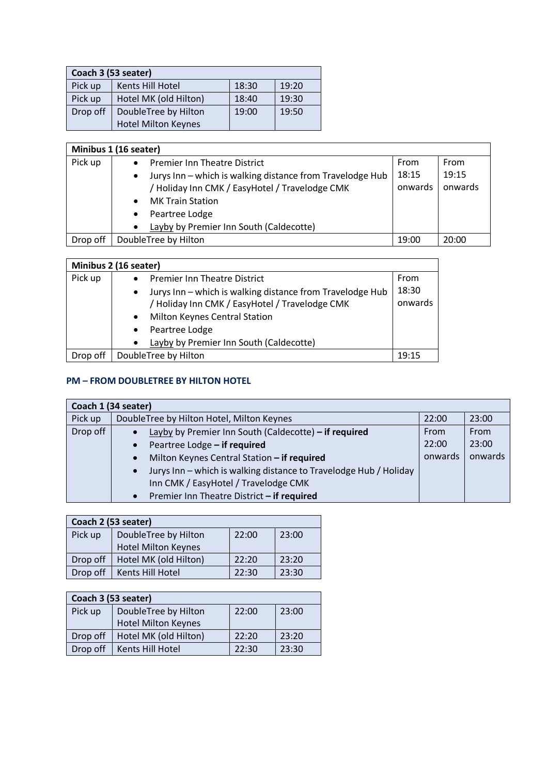| Coach 3 (53 seater) |                            |       |       |  |  |
|---------------------|----------------------------|-------|-------|--|--|
| Pick up             | Kents Hill Hotel           | 18:30 | 19:20 |  |  |
| Pick up             | Hotel MK (old Hilton)      | 18:40 | 19:30 |  |  |
| Drop off            | DoubleTree by Hilton       | 19:00 | 19:50 |  |  |
|                     | <b>Hotel Milton Keynes</b> |       |       |  |  |

| Minibus 1 (16 seater) |                                                                        |         |         |  |  |
|-----------------------|------------------------------------------------------------------------|---------|---------|--|--|
| Pick up               | <b>Premier Inn Theatre District</b>                                    | From    | From    |  |  |
|                       | Jurys Inn - which is walking distance from Travelodge Hub<br>$\bullet$ | 18:15   | 19:15   |  |  |
|                       | / Holiday Inn CMK / EasyHotel / Travelodge CMK                         | onwards | onwards |  |  |
|                       | <b>MK Train Station</b><br>$\bullet$                                   |         |         |  |  |
|                       | Peartree Lodge                                                         |         |         |  |  |
|                       | Layby by Premier Inn South (Caldecotte)<br>$\bullet$                   |         |         |  |  |
| Drop off              | DoubleTree by Hilton                                                   | 19:00   | 20:00   |  |  |

| Minibus 2 (16 seater) |                                                                                                                                                                                                                                                     |                          |  |  |  |
|-----------------------|-----------------------------------------------------------------------------------------------------------------------------------------------------------------------------------------------------------------------------------------------------|--------------------------|--|--|--|
| Pick up               | <b>Premier Inn Theatre District</b><br>Jurys Inn - which is walking distance from Travelodge Hub<br>$\bullet$<br>/ Holiday Inn CMK / EasyHotel / Travelodge CMK<br><b>Milton Keynes Central Station</b><br>$\bullet$<br>Peartree Lodge<br>$\bullet$ | From<br>18:30<br>onwards |  |  |  |
|                       | Layby by Premier Inn South (Caldecotte)<br>$\bullet$                                                                                                                                                                                                |                          |  |  |  |
| Drop off              | DoubleTree by Hilton                                                                                                                                                                                                                                | 19:15                    |  |  |  |

## **PM – FROM DOUBLETREE BY HILTON HOTEL**

|          | Coach 1 (34 seater)                                                            |         |         |  |  |  |
|----------|--------------------------------------------------------------------------------|---------|---------|--|--|--|
| Pick up  | DoubleTree by Hilton Hotel, Milton Keynes                                      | 22:00   | 23:00   |  |  |  |
| Drop off | Layby by Premier Inn South (Caldecotte) - if required<br>$\bullet$             | From    | From    |  |  |  |
|          | Peartree Lodge - if required<br>$\bullet$                                      | 22:00   | 23:00   |  |  |  |
|          | Milton Keynes Central Station - if required<br>$\bullet$                       | onwards | onwards |  |  |  |
|          | Jurys Inn - which is walking distance to Travelodge Hub / Holiday<br>$\bullet$ |         |         |  |  |  |
|          | Inn CMK / EasyHotel / Travelodge CMK                                           |         |         |  |  |  |
|          | Premier Inn Theatre District - if required<br>$\bullet$                        |         |         |  |  |  |

| Coach 2 (53 seater) |                            |       |       |  |
|---------------------|----------------------------|-------|-------|--|
| Pick up             | DoubleTree by Hilton       | 22:00 | 23:00 |  |
|                     | <b>Hotel Milton Keynes</b> |       |       |  |
| Drop off            | Hotel MK (old Hilton)      | 22:20 | 23:20 |  |
| Drop off            | Kents Hill Hotel           | 22:30 | 23:30 |  |

| Coach 3 (53 seater) |                            |       |       |  |
|---------------------|----------------------------|-------|-------|--|
| Pick up             | DoubleTree by Hilton       | 22:00 | 23:00 |  |
|                     | <b>Hotel Milton Keynes</b> |       |       |  |
| Drop off            | Hotel MK (old Hilton)      | 22:20 | 23:20 |  |
| Drop off            | Kents Hill Hotel           | 22:30 | 23:30 |  |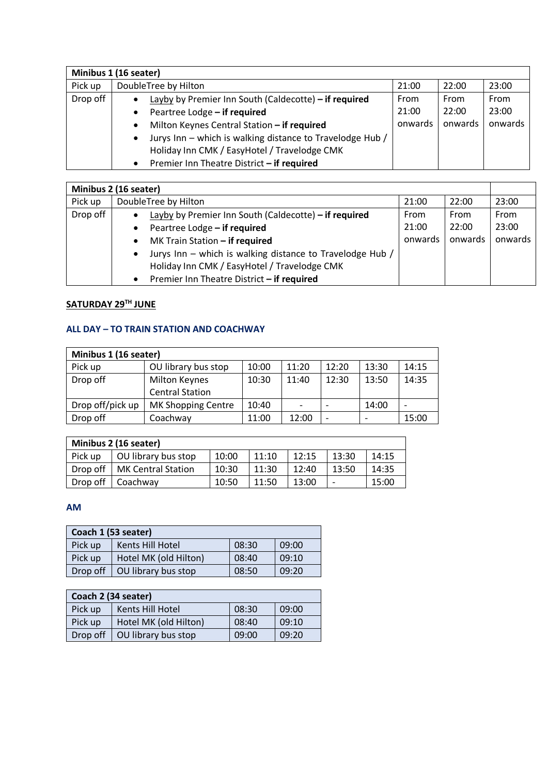|          | Minibus 1 (16 seater)                                          |         |         |         |  |  |
|----------|----------------------------------------------------------------|---------|---------|---------|--|--|
| Pick up  | DoubleTree by Hilton                                           | 21:00   | 22:00   | 23:00   |  |  |
| Drop off | Layby by Premier Inn South (Caldecotte) - if required          | From    | From    | From    |  |  |
|          | Peartree Lodge - if required<br>$\bullet$                      | 21:00   | 22:00   | 23:00   |  |  |
|          | Milton Keynes Central Station - if required<br>٠               | onwards | onwards | onwards |  |  |
|          | Jurys Inn - which is walking distance to Travelodge Hub /<br>٠ |         |         |         |  |  |
|          | Holiday Inn CMK / EasyHotel / Travelodge CMK                   |         |         |         |  |  |
|          | Premier Inn Theatre District - if required<br>$\bullet$        |         |         |         |  |  |

| Minibus 2 (16 seater) |                                                                        |         |         |         |
|-----------------------|------------------------------------------------------------------------|---------|---------|---------|
| Pick up               | DoubleTree by Hilton                                                   | 21:00   | 22:00   | 23:00   |
| Drop off              | Layby by Premier Inn South (Caldecotte) - if required                  | From    | From    | From    |
|                       | Peartree Lodge - if required                                           | 21:00   | 22:00   | 23:00   |
|                       | MK Train Station - if required                                         | onwards | onwards | onwards |
|                       | Jurys Inn - which is walking distance to Travelodge Hub /<br>$\bullet$ |         |         |         |
|                       | Holiday Inn CMK / EasyHotel / Travelodge CMK                           |         |         |         |
|                       | Premier Inn Theatre District - if required<br>$\bullet$                |         |         |         |

# **SATURDAY 29TH JUNE**

## **ALL DAY – TO TRAIN STATION AND COACHWAY**

| Minibus 1 (16 seater) |                        |       |                          |       |       |       |
|-----------------------|------------------------|-------|--------------------------|-------|-------|-------|
| Pick up               | OU library bus stop    | 10:00 | 11:20                    | 12:20 | 13:30 | 14:15 |
| Drop off              | <b>Milton Keynes</b>   | 10:30 | 11:40                    | 12:30 | 13:50 | 14:35 |
|                       | <b>Central Station</b> |       |                          |       |       |       |
| Drop off/pick up      | MK Shopping Centre     | 10:40 | $\overline{\phantom{0}}$ |       | 14:00 |       |
| Drop off              | Coachway               | 11:00 | 12:00                    | -     |       | 15:00 |

| Minibus 2 (16 seater) |                           |       |       |       |       |       |
|-----------------------|---------------------------|-------|-------|-------|-------|-------|
| Pick up               | OU library bus stop       | 10:00 | 11:10 | 12:15 | 13:30 | 14:15 |
| Drop off              | <b>MK Central Station</b> | 10:30 | 11:30 | 12:40 | 13:50 | 14:35 |
| Drop off              | Coachway                  | 10:50 | 11:50 | 13:00 | -     | 15:00 |

#### **AM**

| Coach 1 (53 seater) |                       |       |       |  |  |
|---------------------|-----------------------|-------|-------|--|--|
| Pick up             | Kents Hill Hotel      | 08:30 | 09:00 |  |  |
| Pick up             | Hotel MK (old Hilton) | 08:40 | 09:10 |  |  |
| Drop off            | OU library bus stop   | 08:50 | 09:20 |  |  |

| Coach 2 (34 seater) |                       |       |       |  |
|---------------------|-----------------------|-------|-------|--|
| Pick up             | Kents Hill Hotel      | 08:30 | 09:00 |  |
| Pick up             | Hotel MK (old Hilton) | 08:40 | 09:10 |  |
| Drop off            | OU library bus stop   | 09:00 | 09:20 |  |